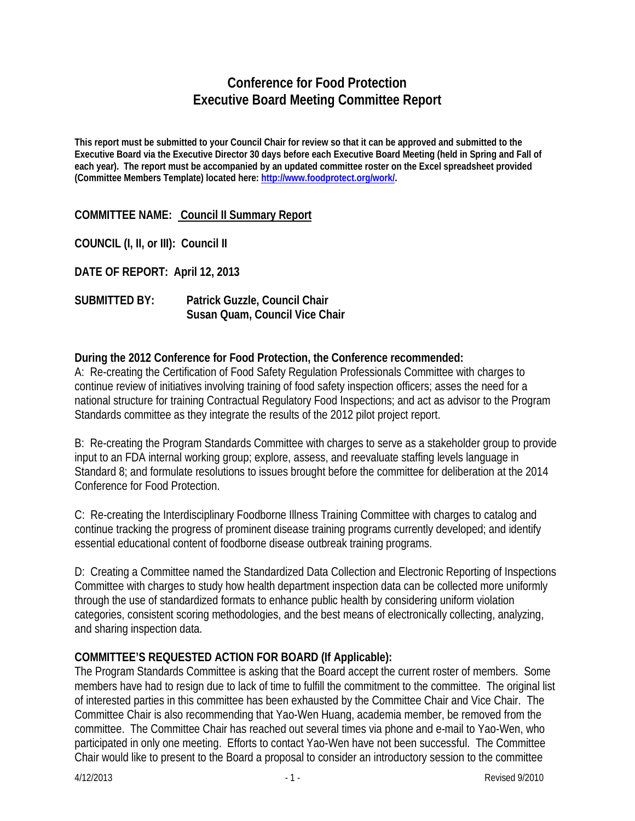## **Conference for Food Protection Executive Board Meeting Committee Report**

**This report must be submitted to your Council Chair for review so that it can be approved and submitted to the Executive Board via the Executive Director 30 days before each Executive Board Meeting (held in Spring and Fall of each year). The report must be accompanied by an updated committee roster on the Excel spreadsheet provided (Committee Members Template) located here: [http://www.foodprotect.org/work/.](http://www.foodprotect.org/work/)**

**COMMITTEE NAME: Council II Summary Report**

**COUNCIL (I, II, or III): Council II**

**DATE OF REPORT: April 12, 2013**

**SUBMITTED BY: Patrick Guzzle, Council Chair Susan Quam, Council Vice Chair**

## **During the 2012 Conference for Food Protection, the Conference recommended:**

A: Re-creating the Certification of Food Safety Regulation Professionals Committee with charges to continue review of initiatives involving training of food safety inspection officers; asses the need for a national structure for training Contractual Regulatory Food Inspections; and act as advisor to the Program Standards committee as they integrate the results of the 2012 pilot project report.

B: Re-creating the Program Standards Committee with charges to serve as a stakeholder group to provide input to an FDA internal working group; explore, assess, and reevaluate staffing levels language in Standard 8; and formulate resolutions to issues brought before the committee for deliberation at the 2014 Conference for Food Protection.

C: Re-creating the Interdisciplinary Foodborne Illness Training Committee with charges to catalog and continue tracking the progress of prominent disease training programs currently developed; and identify essential educational content of foodborne disease outbreak training programs.

D: Creating a Committee named the Standardized Data Collection and Electronic Reporting of Inspections Committee with charges to study how health department inspection data can be collected more uniformly through the use of standardized formats to enhance public health by considering uniform violation categories, consistent scoring methodologies, and the best means of electronically collecting, analyzing, and sharing inspection data.

## **COMMITTEE'S REQUESTED ACTION FOR BOARD (If Applicable):**

The Program Standards Committee is asking that the Board accept the current roster of members. Some members have had to resign due to lack of time to fulfill the commitment to the committee. The original list of interested parties in this committee has been exhausted by the Committee Chair and Vice Chair. The Committee Chair is also recommending that Yao-Wen Huang, academia member, be removed from the committee. The Committee Chair has reached out several times via phone and e-mail to Yao-Wen, who participated in only one meeting. Efforts to contact Yao-Wen have not been successful. The Committee Chair would like to present to the Board a proposal to consider an introductory session to the committee